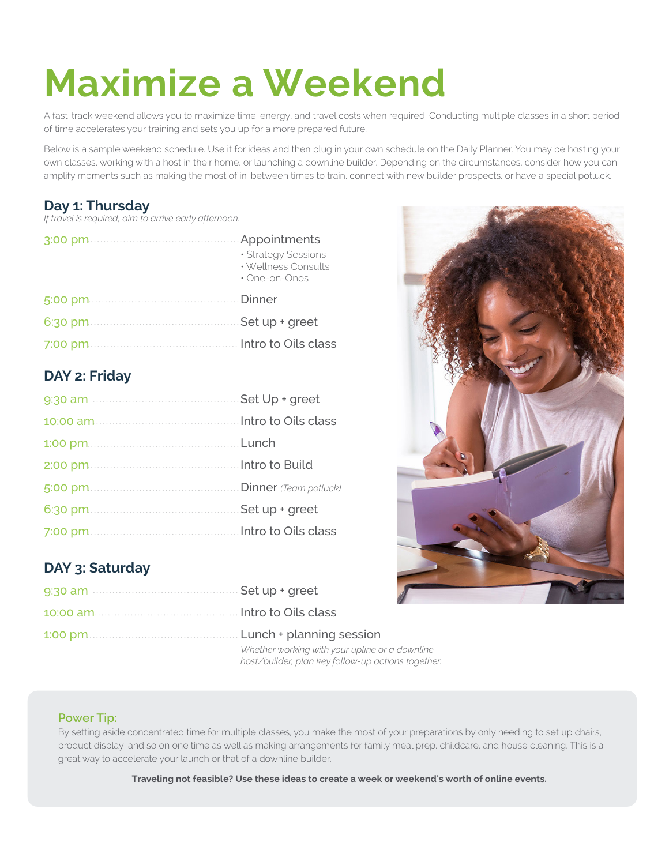# **Maximize a Weekend**

A fast-track weekend allows you to maximize time, energy, and travel costs when required. Conducting multiple classes in a short period of time accelerates your training and sets you up for a more prepared future.

Below is a sample weekend schedule. Use it for ideas and then plug in your own schedule on the Daily Planner. You may be hosting your own classes, working with a host in their home, or launching a downline builder. Depending on the circumstances, consider how you can amplify moments such as making the most of in-between times to train, connect with new builder prospects, or have a special potluck.

#### **Day 1: Thursday**

*If travel is required, aim to arrive early afternoon.*

| · Strategy Sessions<br>· Wellness Consults<br>• One-on-Ones |
|-------------------------------------------------------------|
|                                                             |
|                                                             |
|                                                             |

#### **DAY 2: Friday**

### **DAY 3: Saturday**

| Whether working with your upline or a downline<br>host/builder, plan key follow-up actions together. |
|------------------------------------------------------------------------------------------------------|



#### **Power Tip:**

By setting aside concentrated time for multiple classes, you make the most of your preparations by only needing to set up chairs, product display, and so on one time as well as making arrangements for family meal prep, childcare, and house cleaning. This is a great way to accelerate your launch or that of a downline builder.

**Traveling not feasible? Use these ideas to create a week or weekend's worth of online events.**